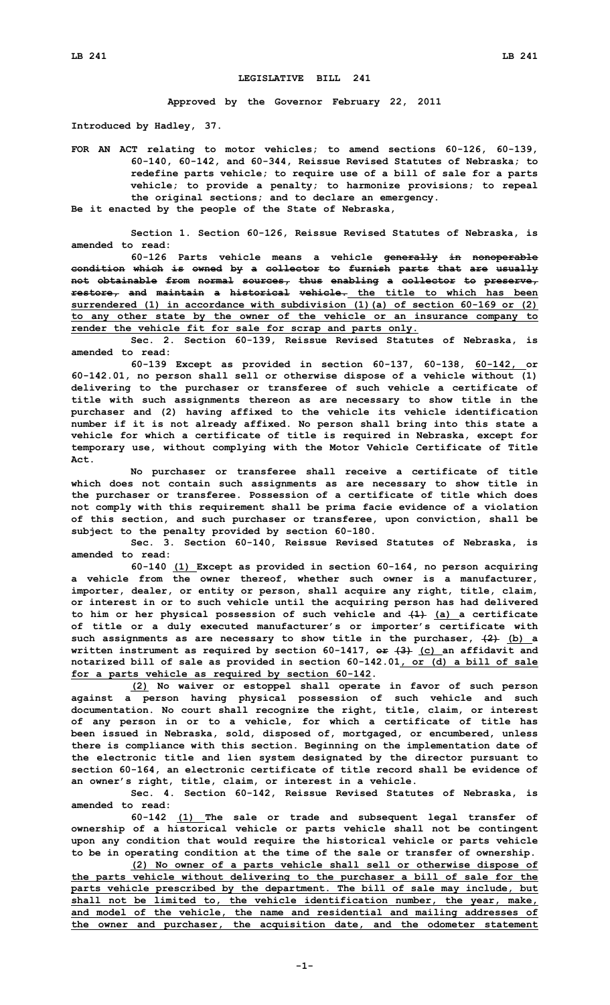## **LEGISLATIVE BILL 241**

**Approved by the Governor February 22, 2011**

**Introduced by Hadley, 37.**

**FOR AN ACT relating to motor vehicles; to amend sections 60-126, 60-139, 60-140, 60-142, and 60-344, Reissue Revised Statutes of Nebraska; to redefine parts vehicle; to require use of <sup>a</sup> bill of sale for <sup>a</sup> parts vehicle; to provide <sup>a</sup> penalty; to harmonize provisions; to repeal the original sections; and to declare an emergency.**

**Be it enacted by the people of the State of Nebraska,**

**Section 1. Section 60-126, Reissue Revised Statutes of Nebraska, is amended to read:**

**60-126 Parts vehicle means <sup>a</sup> vehicle generally in nonoperable condition which is owned by <sup>a</sup> collector to furnish parts that are usually not obtainable from normal sources, thus enabling <sup>a</sup> collector to preserve, restore, and maintain <sup>a</sup> historical vehicle. the title to which has been surrendered (1) in accordance with subdivision (1)(a) of section 60-169 or (2) to any other state by the owner of the vehicle or an insurance company to render the vehicle fit for sale for scrap and parts only.**

**Sec. 2. Section 60-139, Reissue Revised Statutes of Nebraska, is amended to read:**

**60-139 Except as provided in section 60-137, 60-138, 60-142, or 60-142.01, no person shall sell or otherwise dispose of <sup>a</sup> vehicle without (1) delivering to the purchaser or transferee of such vehicle <sup>a</sup> certificate of title with such assignments thereon as are necessary to show title in the purchaser and (2) having affixed to the vehicle its vehicle identification number if it is not already affixed. No person shall bring into this state <sup>a</sup> vehicle for which <sup>a</sup> certificate of title is required in Nebraska, except for temporary use, without complying with the Motor Vehicle Certificate of Title Act.**

**No purchaser or transferee shall receive <sup>a</sup> certificate of title which does not contain such assignments as are necessary to show title in the purchaser or transferee. Possession of <sup>a</sup> certificate of title which does not comply with this requirement shall be prima facie evidence of <sup>a</sup> violation of this section, and such purchaser or transferee, upon conviction, shall be subject to the penalty provided by section 60-180.**

**Sec. 3. Section 60-140, Reissue Revised Statutes of Nebraska, is amended to read:**

**60-140 (1) Except as provided in section 60-164, no person acquiring <sup>a</sup> vehicle from the owner thereof, whether such owner is <sup>a</sup> manufacturer, importer, dealer, or entity or person, shall acquire any right, title, claim, or interest in or to such vehicle until the acquiring person has had delivered to him or her physical possession of such vehicle and (1) (a) <sup>a</sup> certificate of title or <sup>a</sup> duly executed manufacturer's or importer's certificate with such assignments as are necessary to show title in the purchaser, (2) (b) <sup>a</sup> written instrument as required by section 60-1417, or (3) (c) an affidavit and notarized bill of sale as provided in section 60-142.01, or (d) <sup>a</sup> bill of sale for <sup>a</sup> parts vehicle as required by section 60-142.**

**(2) No waiver or estoppel shall operate in favor of such person against <sup>a</sup> person having physical possession of such vehicle and such documentation. No court shall recognize the right, title, claim, or interest of any person in or to <sup>a</sup> vehicle, for which <sup>a</sup> certificate of title has been issued in Nebraska, sold, disposed of, mortgaged, or encumbered, unless there is compliance with this section. Beginning on the implementation date of the electronic title and lien system designated by the director pursuant to section 60-164, an electronic certificate of title record shall be evidence of an owner's right, title, claim, or interest in <sup>a</sup> vehicle.**

**Sec. 4. Section 60-142, Reissue Revised Statutes of Nebraska, is amended to read:**

**60-142 (1) The sale or trade and subsequent legal transfer of ownership of <sup>a</sup> historical vehicle or parts vehicle shall not be contingent upon any condition that would require the historical vehicle or parts vehicle to be in operating condition at the time of the sale or transfer of ownership.**

**(2) No owner of <sup>a</sup> parts vehicle shall sell or otherwise dispose of the parts vehicle without delivering to the purchaser <sup>a</sup> bill of sale for the parts vehicle prescribed by the department. The bill of sale may include, but shall not be limited to, the vehicle identification number, the year, make, and model of the vehicle, the name and residential and mailing addresses of the owner and purchaser, the acquisition date, and the odometer statement**